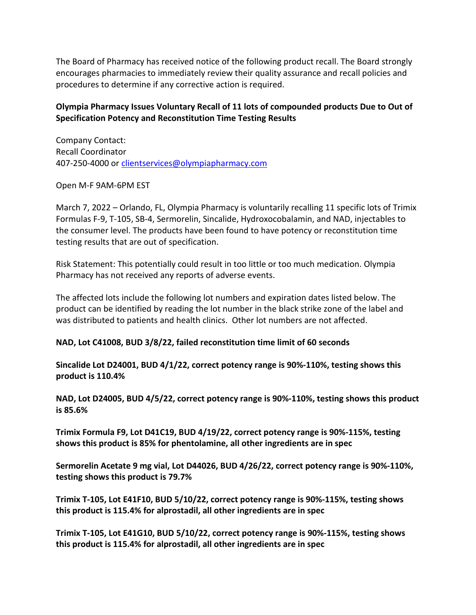The Board of Pharmacy has received notice of the following product recall. The Board strongly encourages pharmacies to immediately review their quality assurance and recall policies and procedures to determine if any corrective action is required.

## **Olympia Pharmacy Issues Voluntary Recall of 11 lots of compounded products Due to Out of Specification Potency and Reconstitution Time Testing Results**

Company Contact: Recall Coordinator 407-250-4000 or [clientservices@olympiapharmacy.com](mailto:clientservices@olympiapharmacy.com) 

Open M-F 9AM-6PM EST

March 7, 2022 – Orlando, FL, Olympia Pharmacy is voluntarily recalling 11 specific lots of Trimix Formulas F-9, T-105, SB-4, Sermorelin, Sincalide, Hydroxocobalamin, and NAD, injectables to the consumer level. The products have been found to have potency or reconstitution time testing results that are out of specification.

Risk Statement: This potentially could result in too little or too much medication. Olympia Pharmacy has not received any reports of adverse events.

The affected lots include the following lot numbers and expiration dates listed below. The product can be identified by reading the lot number in the black strike zone of the label and was distributed to patients and health clinics. Other lot numbers are not affected.

## **NAD, Lot C41008, BUD 3/8/22, failed reconstitution time limit of 60 seconds**

**Sincalide Lot D24001, BUD 4/1/22, correct potency range is 90%-110%, testing shows this product is 110.4%** 

**NAD, Lot D24005, BUD 4/5/22, correct potency range is 90%-110%, testing shows this product is 85.6%** 

**Trimix Formula F9, Lot D41C19, BUD 4/19/22, correct potency range is 90%-115%, testing shows this product is 85% for phentolamine, all other ingredients are in spec** 

**Sermorelin Acetate 9 mg vial, Lot D44026, BUD 4/26/22, correct potency range is 90%-110%, testing shows this product is 79.7%** 

**Trimix T-105, Lot E41F10, BUD 5/10/22, correct potency range is 90%-115%, testing shows this product is 115.4% for alprostadil, all other ingredients are in spec** 

**Trimix T-105, Lot E41G10, BUD 5/10/22, correct potency range is 90%-115%, testing shows this product is 115.4% for alprostadil, all other ingredients are in spec**